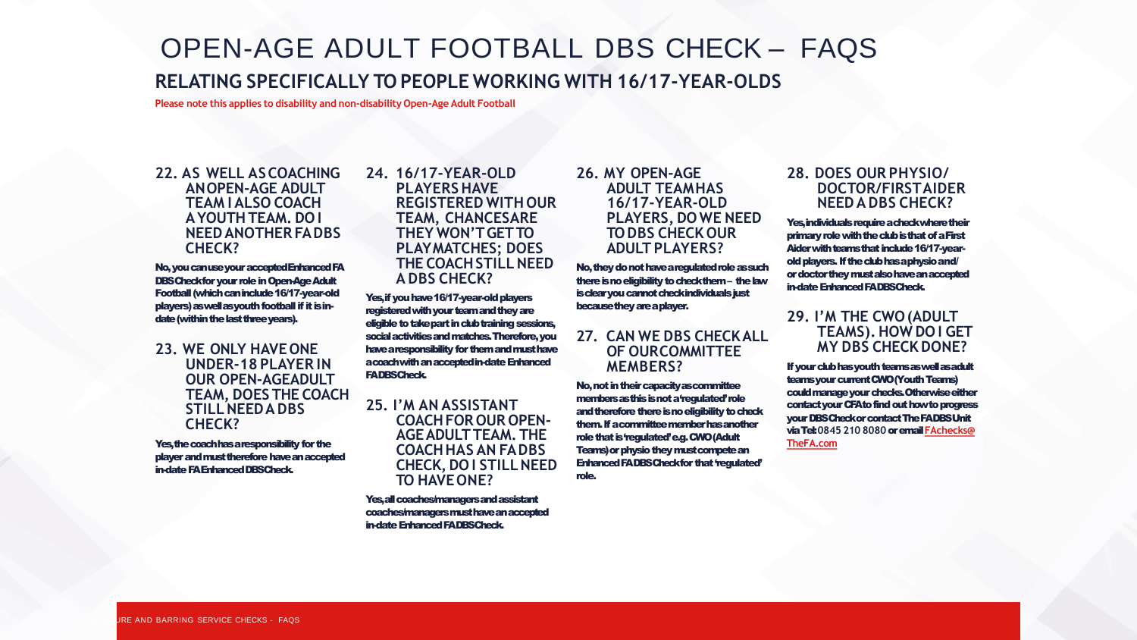# OPEN-AGE ADULT FOOTBALL DBS CHECK – FAQS

# **RELATING SPECIFICALLY TO PEOPLE WORKING WITH 16/17-YEAR-OLDS**

**Please note this applies to disability and non-disability Open-Age Adult Football**

#### **22. AS WELL ASCOACHING ANOPEN-AGE ADULT TEAM I ALSO COACH AYOUTHTEAM. DO I NEEDANOTHER FADBS CHECK?**

No, you can use your accepted Enhanced FA DBS Check for your role in Open-Age Adult Football (which can include 16/17-year-old players) as well as youth football if it is indate (within the last threeyears).

**23. WE ONLY HAVEONE UNDER-18 PLAYER IN OUR OPEN-AGEADULT TEAM, DOES THE COACH STILLNEEDADBS CHECK?**

Yes, the coach has a responsibility for the player and must therefore have an accepted in-date FA Enhanced DBSCheck.

#### **24. 16/17-YEAR-OLD PLAYERS HAVE REGISTERED WITH OUR TEAM, CHANCESARE THEY WON'TGETTO PLAYMATCHES; DOES THE COACHSTILLNEED A DBS CHECK?**

Yes, if you have 16/17-year-old players registered with your team and they are eligible to take part in club training sessions, social activities and matches. Therefore, you have a responsibility for them and must have a coach with an accepted in-date Enhanced FA DBSCheck.

**25. I'M AN ASSISTANT COACHFOR OUR OPEN-AGEADULTTEAM. THE COACHHAS AN FADBS CHECK, DO I STILLNEED TO HAVEONE?**

Yes, all coaches/managers and assistant coaches/managers must have an accepted in-date Enhanced FA DBSCheck.

# **26. MY OPEN-AGE ADULT TEAMHAS 16/17-YEAR-OLD PLAYERS, DO WE NEED TODBS CHECK OUR ADULT PLAYERS?**

No, they do not have a regulated role as such there is no eligibility to check them – the law is clear you cannot check individuals just because they are aplayer.

# **27. CAN WE DBS CHECKALL OF OURCOMMITTEE MEMBERS?**

No, not in their capacity as committee members as this is not a 'regulated' role and therefore there is no eligibility to check them. If a committee member has another role that is 'regulated' e.g. CWO (Adult Teams) or physio they must compete an Enhanced FA DBS Check for that 'regulated' role.

# **28. DOES OUR PHYSIO/ DOCTOR/FIRSTAIDER NEEDA DBS CHECK?**

Yes, individuals require a check where their primary role with the club is that of a First Aider with teams that include 16/17-yearold players. If the club has a physioand/ or doctor they must also have an accepted in-date Enhanced FA DBSCheck.

# **29. I'M THE CWO(ADULT TEAMS).HOW DO I GET MY DBS CHECK DONE?**

If your club has youth teams as well as adult teams your current CWO (Youth Teams) could manage your checks. Otherwise either contact your CFA to find out how to progress your DBS Check or contact The FA DBS Unit via Tel:**0845 210 8080**oremail **FAchecks@ TheFA.com**